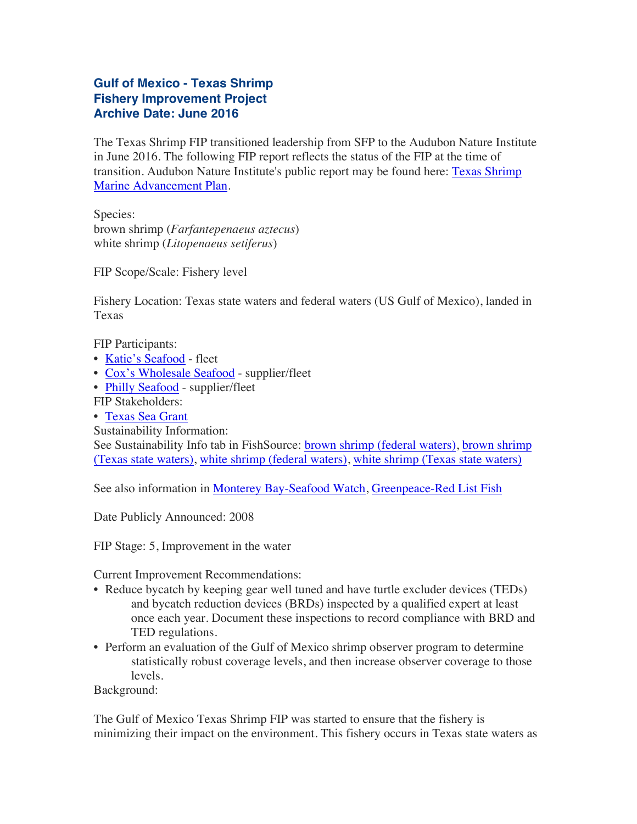## **Gulf of Mexico - Texas Shrimp Fishery Improvement Project Archive Date: June 2016**

The Texas Shrimp FIP transitioned leadership from SFP to the Audubon Nature Institute in June 2016. The following FIP report reflects the status of the FIP at the time of transition. Audubon Nature Institute's public report may be found here: [Texas Shrimp](http://audubongulf.org/advancing-our-fisheries/maps/texas/texas-shrimp/) [Marine Advancement Plan.](http://audubongulf.org/advancing-our-fisheries/maps/texas/texas-shrimp/)

Species: brown shrimp (*Farfantepenaeus aztecus*) white shrimp (*Litopenaeus setiferus*)

FIP Scope/Scale: Fishery level

Fishery Location: Texas state waters and federal waters (US Gulf of Mexico), landed in Texas

FIP Participants:

- [Katie's Seafood](http://www.katiesseafoodmarket.com/) fleet
- [Cox's Wholesale Seafood](http://www.coxseafood.com/) supplier/fleet
- [Philly Seafood](http://www.phillyseafood.com/home/) supplier/fleet

FIP Stakeholders:

• [Texas Sea Grant](http://texas-sea-grant.tamu.edu/)

Sustainability Information:

See Sustainability Info tab in FishSource: [brown shrimp \(federal waters\)](http://www.fishsource.com/site/goto_profile_by_uuid/64008dd6-2687-11dd-a4e9-daf105bfb8c2), [brown shrimp](http://www.fishsource.com/site/goto_profile_by_uuid/0b0a19ec-c38a-11e0-9ef9-40406781a598) [\(Texas state waters\)](http://www.fishsource.com/site/goto_profile_by_uuid/0b0a19ec-c38a-11e0-9ef9-40406781a598), [white shrimp \(federal waters\),](http://www.fishsource.com/site/goto_profile_by_uuid/1b5a66fa-5860-11dd-9563-daf105bfb8c2) [white shrimp \(Texas state waters\)](http://www.fishsource.com/site/goto_profile_by_uuid/131e1b92-c42f-11e0-a90c-40406781a598)

See also information in [Monterey Bay-Seafood Watch](http://www.montereybayaquarium.org//cr/SeafoodWatch/web/sfw_factsheet.aspx?fid=44), [Greenpeace-Red List Fish](http://www.greenpeace.org/usa/en/campaigns/oceans/seafood/red-fish/)

Date Publicly Announced: 2008

FIP Stage: 5, Improvement in the water

Current Improvement Recommendations:

- Reduce bycatch by keeping gear well tuned and have turtle excluder devices (TEDs) and bycatch reduction devices (BRDs) inspected by a qualified expert at least once each year. Document these inspections to record compliance with BRD and TED regulations.
- Perform an evaluation of the Gulf of Mexico shrimp observer program to determine statistically robust coverage levels, and then increase observer coverage to those levels.

Background:

The Gulf of Mexico Texas Shrimp FIP was started to ensure that the fishery is minimizing their impact on the environment. This fishery occurs in Texas state waters as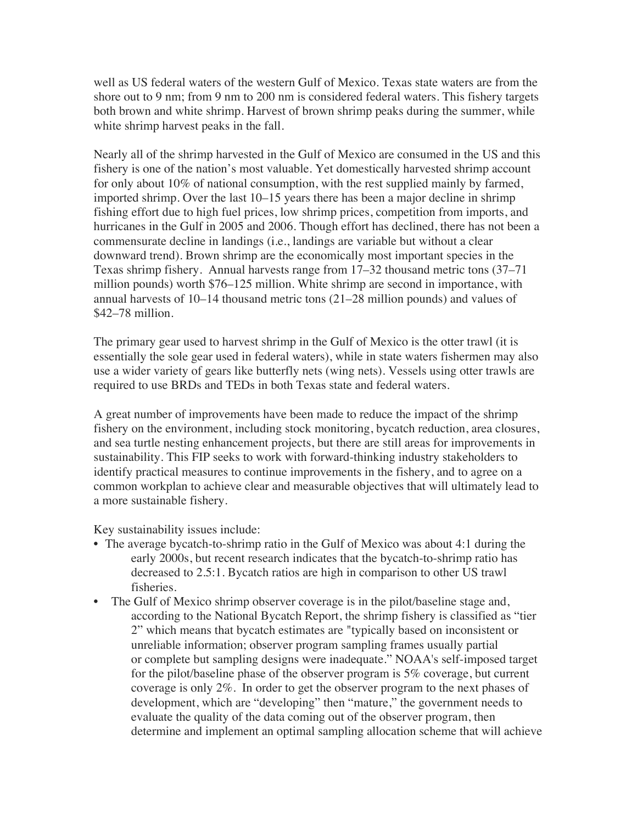well as US federal waters of the western Gulf of Mexico. Texas state waters are from the shore out to 9 nm; from 9 nm to 200 nm is considered federal waters. This fishery targets both brown and white shrimp. Harvest of brown shrimp peaks during the summer, while white shrimp harvest peaks in the fall.

Nearly all of the shrimp harvested in the Gulf of Mexico are consumed in the US and this fishery is one of the nation's most valuable. Yet domestically harvested shrimp account for only about 10% of national consumption, with the rest supplied mainly by farmed, imported shrimp. Over the last 10–15 years there has been a major decline in shrimp fishing effort due to high fuel prices, low shrimp prices, competition from imports, and hurricanes in the Gulf in 2005 and 2006. Though effort has declined, there has not been a commensurate decline in landings (i.e., landings are variable but without a clear downward trend). Brown shrimp are the economically most important species in the Texas shrimp fishery. Annual harvests range from 17–32 thousand metric tons (37–71 million pounds) worth \$76–125 million. White shrimp are second in importance, with annual harvests of 10–14 thousand metric tons (21–28 million pounds) and values of \$42–78 million.

The primary gear used to harvest shrimp in the Gulf of Mexico is the otter trawl (it is essentially the sole gear used in federal waters), while in state waters fishermen may also use a wider variety of gears like butterfly nets (wing nets). Vessels using otter trawls are required to use BRDs and TEDs in both Texas state and federal waters.

A great number of improvements have been made to reduce the impact of the shrimp fishery on the environment, including stock monitoring, bycatch reduction, area closures, and sea turtle nesting enhancement projects, but there are still areas for improvements in sustainability. This FIP seeks to work with forward-thinking industry stakeholders to identify practical measures to continue improvements in the fishery, and to agree on a common workplan to achieve clear and measurable objectives that will ultimately lead to a more sustainable fishery.

Key sustainability issues include:

- The average bycatch-to-shrimp ratio in the Gulf of Mexico was about 4:1 during the early 2000s, but recent research indicates that the bycatch-to-shrimp ratio has decreased to 2.5:1. Bycatch ratios are high in comparison to other US trawl fisheries.
- The Gulf of Mexico shrimp observer coverage is in the pilot/baseline stage and, according to the National Bycatch Report, the shrimp fishery is classified as "tier 2" which means that bycatch estimates are "typically based on inconsistent or unreliable information; observer program sampling frames usually partial or complete but sampling designs were inadequate." NOAA's self-imposed target for the pilot/baseline phase of the observer program is 5% coverage, but current coverage is only 2%. In order to get the observer program to the next phases of development, which are "developing" then "mature," the government needs to evaluate the quality of the data coming out of the observer program, then determine and implement an optimal sampling allocation scheme that will achieve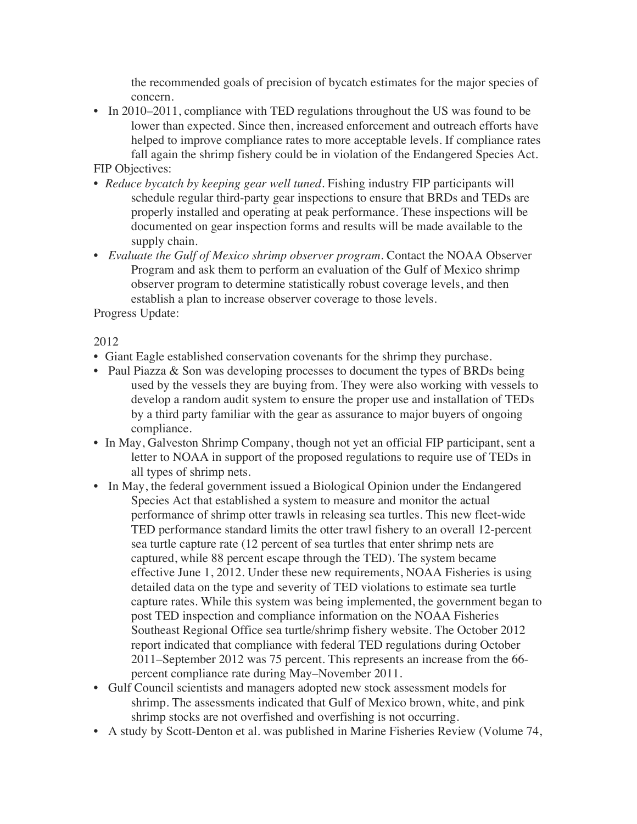the recommended goals of precision of bycatch estimates for the major species of concern.

• In 2010–2011, compliance with TED regulations throughout the US was found to be lower than expected. Since then, increased enforcement and outreach efforts have helped to improve compliance rates to more acceptable levels. If compliance rates fall again the shrimp fishery could be in violation of the Endangered Species Act.

## FIP Objectives:

- *Reduce bycatch by keeping gear well tuned.* Fishing industry FIP participants will schedule regular third-party gear inspections to ensure that BRDs and TEDs are properly installed and operating at peak performance. These inspections will be documented on gear inspection forms and results will be made available to the supply chain.
- *Evaluate the Gulf of Mexico shrimp observer program.* Contact the NOAA Observer Program and ask them to perform an evaluation of the Gulf of Mexico shrimp observer program to determine statistically robust coverage levels, and then establish a plan to increase observer coverage to those levels.

Progress Update:

2012

- Giant Eagle established conservation covenants for the shrimp they purchase.
- Paul Piazza & Son was developing processes to document the types of BRDs being used by the vessels they are buying from. They were also working with vessels to develop a random audit system to ensure the proper use and installation of TEDs by a third party familiar with the gear as assurance to major buyers of ongoing compliance.
- In May, Galveston Shrimp Company, though not yet an official FIP participant, sent a letter to NOAA in support of the proposed regulations to require use of TEDs in all types of shrimp nets.
- In May, the federal government issued a Biological Opinion under the Endangered Species Act that established a system to measure and monitor the actual performance of shrimp otter trawls in releasing sea turtles. This new fleet-wide TED performance standard limits the otter trawl fishery to an overall 12-percent sea turtle capture rate (12 percent of sea turtles that enter shrimp nets are captured, while 88 percent escape through the TED). The system became effective June 1, 2012. Under these new requirements, NOAA Fisheries is using detailed data on the type and severity of TED violations to estimate sea turtle capture rates. While this system was being implemented, the government began to post TED inspection and compliance information on the NOAA Fisheries Southeast Regional Office sea turtle/shrimp fishery website. The October 2012 report indicated that compliance with federal TED regulations during October 2011–September 2012 was 75 percent. This represents an increase from the 66 percent compliance rate during May–November 2011.
- Gulf Council scientists and managers adopted new stock assessment models for shrimp. The assessments indicated that Gulf of Mexico brown, white, and pink shrimp stocks are not overfished and overfishing is not occurring.
- A study by Scott-Denton et al. was published in Marine Fisheries Review (Volume 74,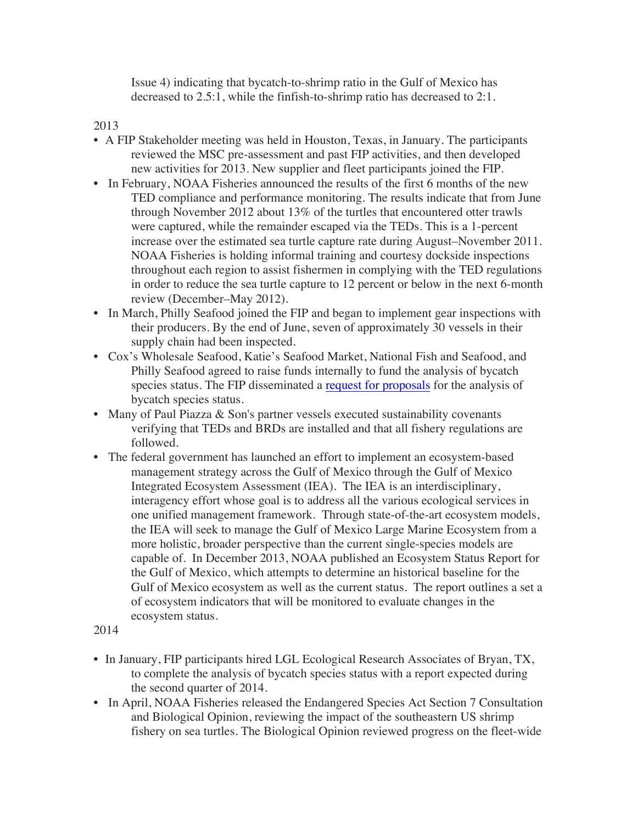Issue 4) indicating that bycatch-to-shrimp ratio in the Gulf of Mexico has decreased to 2.5:1, while the finfish-to-shrimp ratio has decreased to 2:1.

2013

- A FIP Stakeholder meeting was held in Houston, Texas, in January. The participants reviewed the MSC pre-assessment and past FIP activities, and then developed new activities for 2013. New supplier and fleet participants joined the FIP.
- In February, NOAA Fisheries announced the results of the first 6 months of the new TED compliance and performance monitoring. The results indicate that from June through November 2012 about 13% of the turtles that encountered otter trawls were captured, while the remainder escaped via the TEDs. This is a 1-percent increase over the estimated sea turtle capture rate during August–November 2011. NOAA Fisheries is holding informal training and courtesy dockside inspections throughout each region to assist fishermen in complying with the TED regulations in order to reduce the sea turtle capture to 12 percent or below in the next 6-month review (December–May 2012).
- In March, Philly Seafood joined the FIP and began to implement gear inspections with their producers. By the end of June, seven of approximately 30 vessels in their supply chain had been inspected.
- Cox's Wholesale Seafood, Katie's Seafood Market, National Fish and Seafood, and Philly Seafood agreed to raise funds internally to fund the analysis of bycatch species status. The FIP disseminated a [request for proposals](https://drive.google.com/file/d/0B-yvNu3ojn4ZQUp0a2FMM0RYMjg/edit?usp=sharing) for the analysis of bycatch species status.
- Many of Paul Piazza & Son's partner vessels executed sustainability covenants verifying that TEDs and BRDs are installed and that all fishery regulations are followed.
- The federal government has launched an effort to implement an ecosystem-based management strategy across the Gulf of Mexico through the Gulf of Mexico Integrated Ecosystem Assessment (IEA). The IEA is an interdisciplinary, interagency effort whose goal is to address all the various ecological services in one unified management framework. Through state-of-the-art ecosystem models, the IEA will seek to manage the Gulf of Mexico Large Marine Ecosystem from a more holistic, broader perspective than the current single-species models are capable of. In December 2013, NOAA published an Ecosystem Status Report for the Gulf of Mexico, which attempts to determine an historical baseline for the Gulf of Mexico ecosystem as well as the current status. The report outlines a set a of ecosystem indicators that will be monitored to evaluate changes in the ecosystem status.
- 2014
- In January, FIP participants hired LGL Ecological Research Associates of Bryan, TX, to complete the analysis of bycatch species status with a report expected during the second quarter of 2014.
- In April, NOAA Fisheries released the Endangered Species Act Section 7 Consultation and Biological Opinion, reviewing the impact of the southeastern US shrimp fishery on sea turtles. The Biological Opinion reviewed progress on the fleet-wide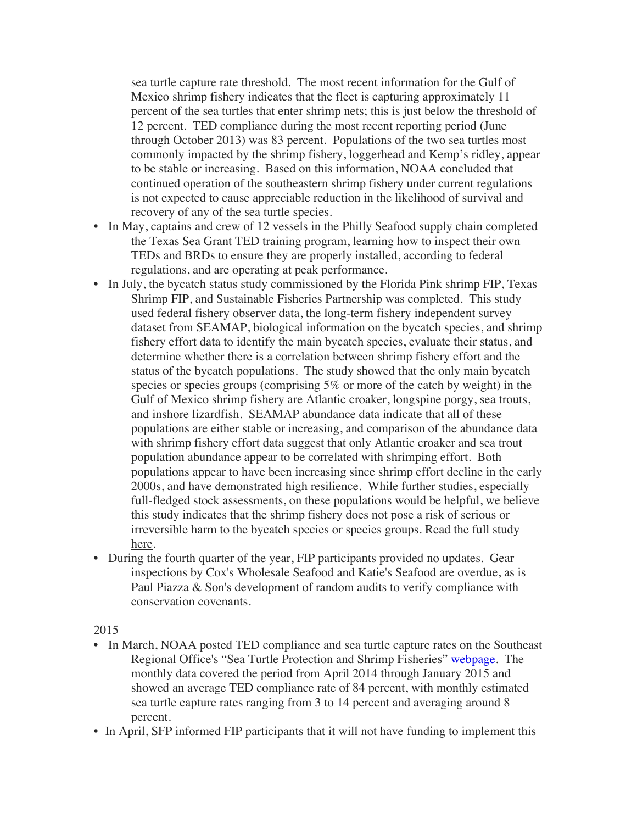sea turtle capture rate threshold. The most recent information for the Gulf of Mexico shrimp fishery indicates that the fleet is capturing approximately 11 percent of the sea turtles that enter shrimp nets; this is just below the threshold of 12 percent. TED compliance during the most recent reporting period (June through October 2013) was 83 percent. Populations of the two sea turtles most commonly impacted by the shrimp fishery, loggerhead and Kemp's ridley, appear to be stable or increasing. Based on this information, NOAA concluded that continued operation of the southeastern shrimp fishery under current regulations is not expected to cause appreciable reduction in the likelihood of survival and recovery of any of the sea turtle species.

- In May, captains and crew of 12 vessels in the Philly Seafood supply chain completed the Texas Sea Grant TED training program, learning how to inspect their own TEDs and BRDs to ensure they are properly installed, according to federal regulations, and are operating at peak performance.
- In July, the bycatch status study commissioned by the Florida Pink shrimp FIP, Texas Shrimp FIP, and Sustainable Fisheries Partnership was completed. This study used federal fishery observer data, the long-term fishery independent survey dataset from SEAMAP, biological information on the bycatch species, and shrimp fishery effort data to identify the main bycatch species, evaluate their status, and determine whether there is a correlation between shrimp fishery effort and the status of the bycatch populations. The study showed that the only main bycatch species or species groups (comprising 5% or more of the catch by weight) in the Gulf of Mexico shrimp fishery are Atlantic croaker, longspine porgy, sea trouts, and inshore lizardfish. SEAMAP abundance data indicate that all of these populations are either stable or increasing, and comparison of the abundance data with shrimp fishery effort data suggest that only Atlantic croaker and sea trout population abundance appear to be correlated with shrimping effort. Both populations appear to have been increasing since shrimp effort decline in the early 2000s, and have demonstrated high resilience. While further studies, especially full-fledged stock assessments, on these populations would be helpful, we believe this study indicates that the shrimp fishery does not pose a risk of serious or irreversible harm to the bycatch species or species groups. Read the full study here.
- During the fourth quarter of the year, FIP participants provided no updates. Gear inspections by Cox's Wholesale Seafood and Katie's Seafood are overdue, as is Paul Piazza & Son's development of random audits to verify compliance with conservation covenants.

## 2015

- In March, NOAA posted TED compliance and sea turtle capture rates on the Southeast Regional Office's "Sea Turtle Protection and Shrimp Fisheries" [webpage](http://sero.nmfs.noaa.gov/protected_resources/sea_turtle_protection_and_shrimp_fisheries/index.html). The monthly data covered the period from April 2014 through January 2015 and showed an average TED compliance rate of 84 percent, with monthly estimated sea turtle capture rates ranging from 3 to 14 percent and averaging around 8 percent.
- In April, SFP informed FIP participants that it will not have funding to implement this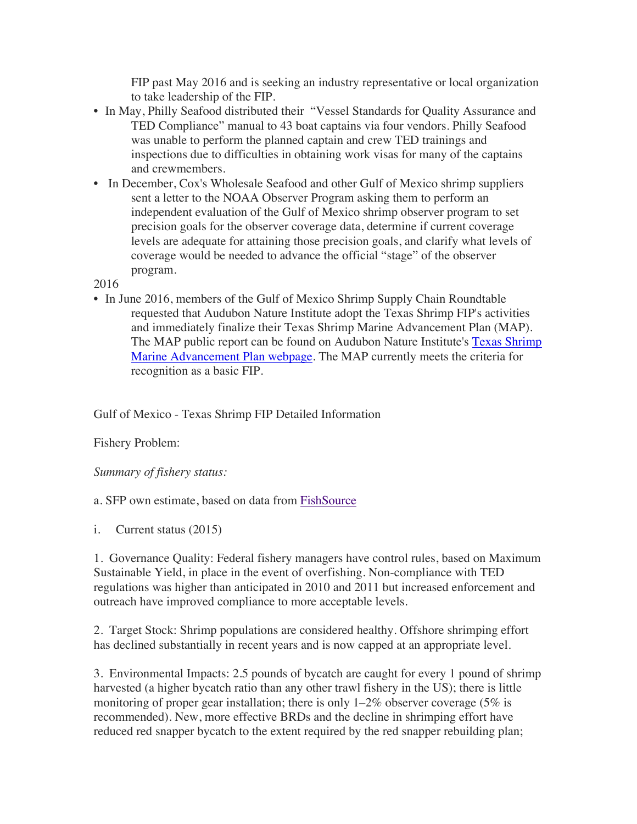FIP past May 2016 and is seeking an industry representative or local organization to take leadership of the FIP.

- In May, Philly Seafood distributed their "Vessel Standards for Quality Assurance and TED Compliance" manual to 43 boat captains via four vendors. Philly Seafood was unable to perform the planned captain and crew TED trainings and inspections due to difficulties in obtaining work visas for many of the captains and crewmembers.
- In December, Cox's Wholesale Seafood and other Gulf of Mexico shrimp suppliers sent a letter to the NOAA Observer Program asking them to perform an independent evaluation of the Gulf of Mexico shrimp observer program to set precision goals for the observer coverage data, determine if current coverage levels are adequate for attaining those precision goals, and clarify what levels of coverage would be needed to advance the official "stage" of the observer program.

2016

• In June 2016, members of the Gulf of Mexico Shrimp Supply Chain Roundtable requested that Audubon Nature Institute adopt the Texas Shrimp FIP's activities and immediately finalize their Texas Shrimp Marine Advancement Plan (MAP). The MAP public report can be found on Audubon Nature Institute's [Texas Shrimp](http://audubongulf.org/advancing-our-fisheries/maps/texas/texas-shrimp)  [Marine Advancement Plan webpage](http://audubongulf.org/advancing-our-fisheries/maps/texas/texas-shrimp). The MAP currently meets the criteria for recognition as a basic FIP.

Gulf of Mexico - Texas Shrimp FIP Detailed Information

Fishery Problem:

*Summary of fishery status:*

a. SFP own estimate, based on data from [FishSource](http://www.fishsource.com/)

i. Current status (2015)

1. Governance Quality: Federal fishery managers have control rules, based on Maximum Sustainable Yield, in place in the event of overfishing. Non-compliance with TED regulations was higher than anticipated in 2010 and 2011 but increased enforcement and outreach have improved compliance to more acceptable levels.

2. Target Stock: Shrimp populations are considered healthy. Offshore shrimping effort has declined substantially in recent years and is now capped at an appropriate level.

3. Environmental Impacts: 2.5 pounds of bycatch are caught for every 1 pound of shrimp harvested (a higher bycatch ratio than any other trawl fishery in the US); there is little monitoring of proper gear installation; there is only  $1-2\%$  observer coverage (5% is recommended). New, more effective BRDs and the decline in shrimping effort have reduced red snapper bycatch to the extent required by the red snapper rebuilding plan;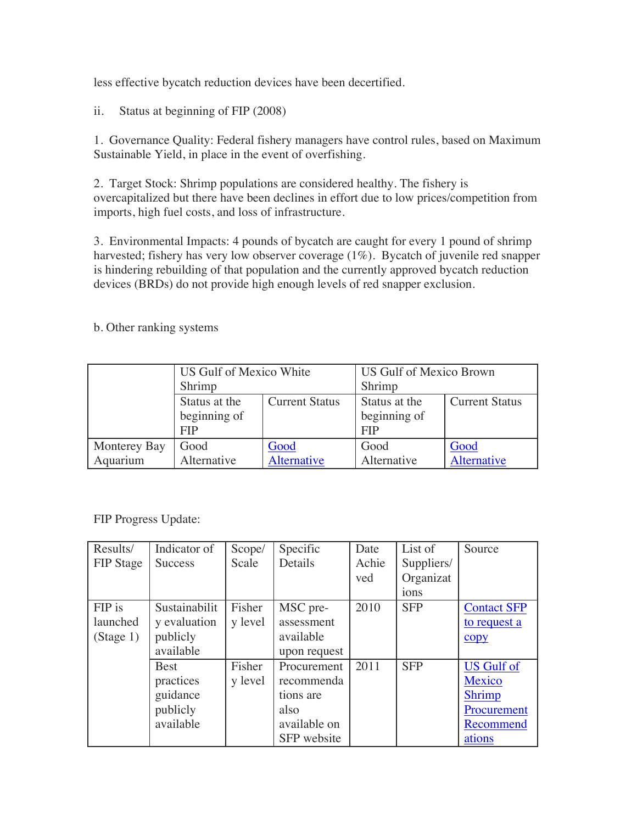less effective bycatch reduction devices have been decertified.

ii. Status at beginning of FIP (2008)

1. Governance Quality: Federal fishery managers have control rules, based on Maximum Sustainable Yield, in place in the event of overfishing.

2. Target Stock: Shrimp populations are considered healthy. The fishery is overcapitalized but there have been declines in effort due to low prices/competition from imports, high fuel costs, and loss of infrastructure.

3. Environmental Impacts: 4 pounds of bycatch are caught for every 1 pound of shrimp harvested; fishery has very low observer coverage (1%). Bycatch of juvenile red snapper is hindering rebuilding of that population and the currently approved bycatch reduction devices (BRDs) do not provide high enough levels of red snapper exclusion.

|              | US Gulf of Mexico White |                       | <b>US Gulf of Mexico Brown</b> |                       |  |
|--------------|-------------------------|-----------------------|--------------------------------|-----------------------|--|
|              | Shrimp                  |                       | Shrimp                         |                       |  |
|              | Status at the           | <b>Current Status</b> | Status at the                  | <b>Current Status</b> |  |
|              | beginning of            |                       | beginning of                   |                       |  |
|              | <b>FIP</b>              |                       | <b>FIP</b>                     |                       |  |
| Monterey Bay | Good                    | Good                  | Good                           | Good                  |  |
| Aquarium     | Alternative             | Alternative           | Alternative                    | Alternative           |  |

b. Other ranking systems

## FIP Progress Update:

| Results/         | Indicator of   | Scope/  | Specific     | Date  | List of    | Source             |
|------------------|----------------|---------|--------------|-------|------------|--------------------|
| <b>FIP</b> Stage | <b>Success</b> | Scale   | Details      | Achie | Suppliers/ |                    |
|                  |                |         |              | ved   | Organizat  |                    |
|                  |                |         |              |       | ions       |                    |
| FIP is           | Sustainabilit  | Fisher  | MSC pre-     | 2010  | <b>SFP</b> | <b>Contact SFP</b> |
| launched         | y evaluation   | y level | assessment   |       |            | to request a       |
| (Stage 1)        | publicly       |         | available    |       |            | copy               |
|                  | available      |         | upon request |       |            |                    |
|                  | <b>Best</b>    | Fisher  | Procurement  | 2011  | <b>SFP</b> | <b>US Gulf of</b>  |
|                  | practices      | y level | recommenda   |       |            | Mexico             |
|                  | guidance       |         | tions are    |       |            | <b>Shrimp</b>      |
|                  | publicly       |         | also         |       |            | Procurement        |
|                  | available      |         | available on |       |            | Recommend          |
|                  |                |         | SFP website  |       |            | ations             |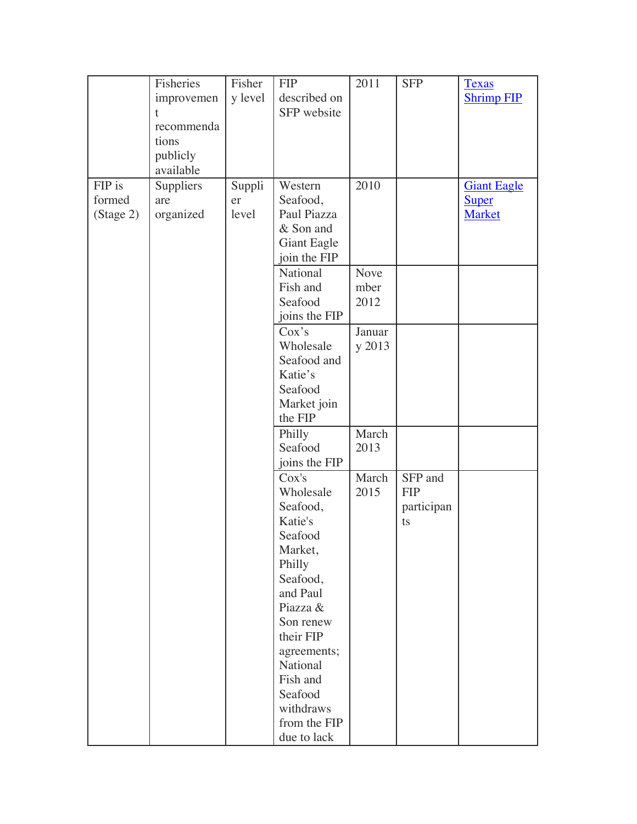|           | Fisheries  | Fisher  | <b>FIP</b>                 | 2011   | <b>SFP</b> | <b>Texas</b>       |
|-----------|------------|---------|----------------------------|--------|------------|--------------------|
|           | improvemen | y level | described on               |        |            | <b>Shrimp FIP</b>  |
|           | t          |         | SFP website                |        |            |                    |
|           | recommenda |         |                            |        |            |                    |
|           | tions      |         |                            |        |            |                    |
|           | publicly   |         |                            |        |            |                    |
|           | available  |         |                            |        |            |                    |
| FIP is    | Suppliers  | Suppli  | Western                    | 2010   |            | <b>Giant Eagle</b> |
| formed    | are        | er      | Seafood,                   |        |            | <b>Super</b>       |
| (Stage 2) | organized  | level   | Paul Piazza                |        |            | Market             |
|           |            |         | & Son and                  |        |            |                    |
|           |            |         | <b>Giant Eagle</b>         |        |            |                    |
|           |            |         | join the FIP               |        |            |                    |
|           |            |         | National                   | Nove   |            |                    |
|           |            |         | Fish and                   | mber   |            |                    |
|           |            |         | Seafood                    | 2012   |            |                    |
|           |            |         | joins the FIP              |        |            |                    |
|           |            |         | Cox's                      | Januar |            |                    |
|           |            |         | Wholesale                  | y 2013 |            |                    |
|           |            |         | Seafood and                |        |            |                    |
|           |            |         | Katie's                    |        |            |                    |
|           |            |         | Seafood                    |        |            |                    |
|           |            |         | Market join                |        |            |                    |
|           |            |         | the FIP                    |        |            |                    |
|           |            |         |                            | March  |            |                    |
|           |            |         | Philly<br>Seafood          | 2013   |            |                    |
|           |            |         |                            |        |            |                    |
|           |            |         | joins the FIP              |        |            |                    |
|           |            |         | $\overline{\text{Cox}}$ 's | March  | SFP and    |                    |
|           |            |         | Wholesale                  | 2015   | <b>FIP</b> |                    |
|           |            |         | Seafood,                   |        | participan |                    |
|           |            |         | Katie's                    |        | ts         |                    |
|           |            |         | Seafood                    |        |            |                    |
|           |            |         | Market,                    |        |            |                    |
|           |            |         | Philly                     |        |            |                    |
|           |            |         | Seafood,                   |        |            |                    |
|           |            |         | and Paul                   |        |            |                    |
|           |            |         | Piazza &                   |        |            |                    |
|           |            |         | Son renew                  |        |            |                    |
|           |            |         | their FIP                  |        |            |                    |
|           |            |         | agreements;                |        |            |                    |
|           |            |         | National                   |        |            |                    |
|           |            |         | Fish and                   |        |            |                    |
|           |            |         | Seafood                    |        |            |                    |
|           |            |         | withdraws                  |        |            |                    |
|           |            |         | from the FIP               |        |            |                    |
|           |            |         | due to lack                |        |            |                    |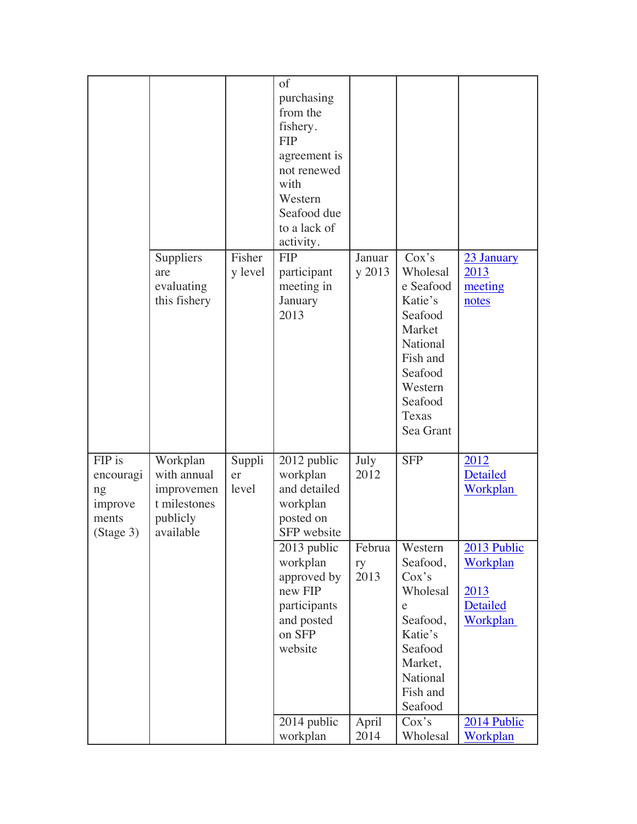|                                                            |                                                                                |                       | of<br>purchasing<br>from the<br>fishery.<br><b>FIP</b><br>agreement is<br>not renewed<br>with<br>Western<br>Seafood due<br>to a lack of<br>activity. |                      |                                                                                                                                                              |                                                         |
|------------------------------------------------------------|--------------------------------------------------------------------------------|-----------------------|------------------------------------------------------------------------------------------------------------------------------------------------------|----------------------|--------------------------------------------------------------------------------------------------------------------------------------------------------------|---------------------------------------------------------|
|                                                            | Suppliers<br>are<br>evaluating<br>this fishery                                 | Fisher<br>y level     | <b>FIP</b><br>participant<br>meeting in<br>January<br>2013                                                                                           | Januar<br>y 2013     | $\cos^{\frac{1}{s}}$<br>Wholesal<br>e Seafood<br>Katie's<br>Seafood<br>Market<br>National<br>Fish and<br>Seafood<br>Western<br>Seafood<br>Texas<br>Sea Grant | 23 January<br>2013<br>meeting<br>notes                  |
| FIP is<br>encouragi<br>ng<br>improve<br>ments<br>(Stage 3) | Workplan<br>with annual<br>improvemen<br>t milestones<br>publicly<br>available | Suppli<br>er<br>level | 2012 public<br>workplan<br>and detailed<br>workplan<br>posted on<br>SFP website                                                                      | July<br>2012         | <b>SFP</b>                                                                                                                                                   | 2012<br>Detailed<br>Workplan                            |
|                                                            |                                                                                |                       | 2013 public<br>workplan<br>approved by<br>new FIP<br>participants<br>and posted<br>on SFP<br>website                                                 | Februa<br>ry<br>2013 | Western<br>Seafood,<br>Cox's<br>Wholesal<br>e<br>Seafood,<br>Katie's<br>Seafood<br>Market,<br>National<br>Fish and<br>Seafood                                | 2013 Public<br>Workplan<br>2013<br>Detailed<br>Workplan |
|                                                            |                                                                                |                       | 2014 public<br>workplan                                                                                                                              | April<br>2014        | Cox's<br>Wholesal                                                                                                                                            | 2014 Public<br>Workplan                                 |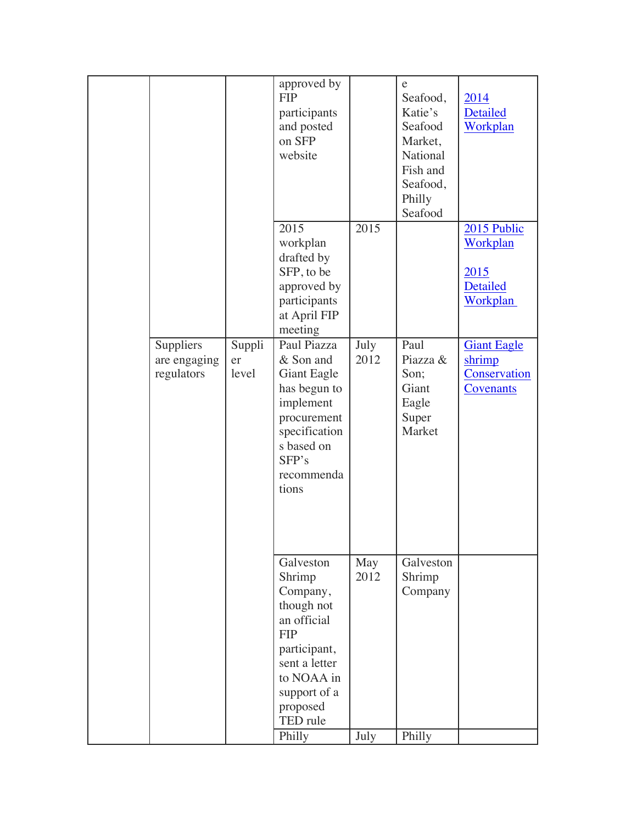|                                         |                       | approved by<br><b>FIP</b><br>participants<br>and posted<br>on SFP<br>website                                                                                                |                     | e<br>Seafood,<br>Katie's<br>Seafood<br>Market,<br>National<br>Fish and<br>Seafood,<br>Philly<br>Seafood | 2014<br><b>Detailed</b><br>Workplan                       |
|-----------------------------------------|-----------------------|-----------------------------------------------------------------------------------------------------------------------------------------------------------------------------|---------------------|---------------------------------------------------------------------------------------------------------|-----------------------------------------------------------|
|                                         |                       | 2015<br>workplan<br>drafted by<br>SFP, to be<br>approved by<br>participants<br>at April FIP<br>meeting                                                                      | 2015                |                                                                                                         | 2015 Public<br>Workplan<br>2015<br>Detailed<br>Workplan   |
| Suppliers<br>are engaging<br>regulators | Suppli<br>er<br>level | Paul Piazza<br>& Son and<br><b>Giant Eagle</b><br>has begun to<br>implement<br>procurement<br>specification<br>s based on<br>SFP's<br>recommenda<br>tions                   | July<br>2012        | Paul<br>Piazza &<br>Son;<br>Giant<br>Eagle<br>Super<br>Market                                           | <b>Giant Eagle</b><br>shrimp<br>Conservation<br>Covenants |
|                                         |                       | Galveston<br>Shrimp<br>Company,<br>though not<br>an official<br><b>FIP</b><br>participant,<br>sent a letter<br>to NOAA in<br>support of a<br>proposed<br>TED rule<br>Philly | May<br>2012<br>July | Galveston<br>Shrimp<br>Company<br>Philly                                                                |                                                           |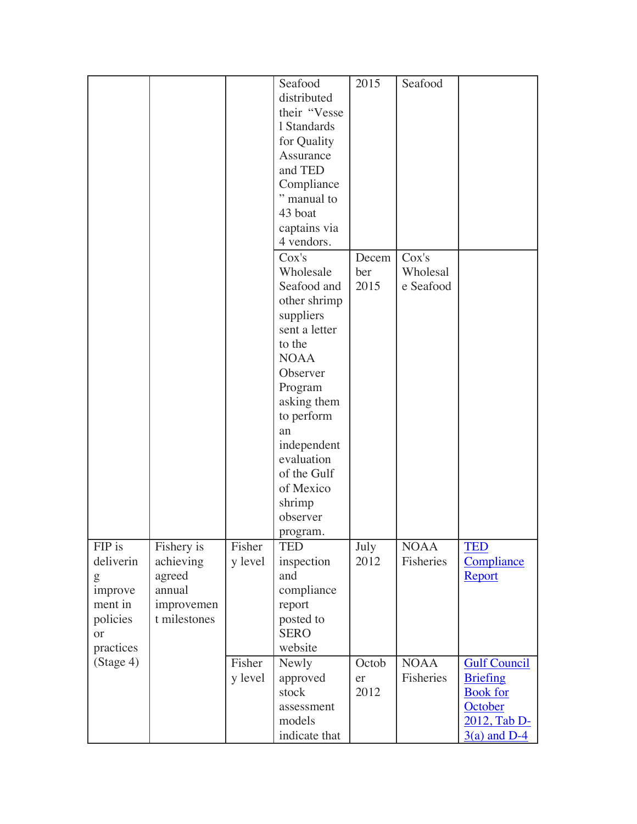|           |              |         | Seafood                   | 2015  | Seafood     |                     |
|-----------|--------------|---------|---------------------------|-------|-------------|---------------------|
|           |              |         | distributed               |       |             |                     |
|           |              |         | their "Vesse              |       |             |                     |
|           |              |         | 1 Standards               |       |             |                     |
|           |              |         | for Quality               |       |             |                     |
|           |              |         | Assurance                 |       |             |                     |
|           |              |         | and TED                   |       |             |                     |
|           |              |         |                           |       |             |                     |
|           |              |         | Compliance<br>" manual to |       |             |                     |
|           |              |         |                           |       |             |                     |
|           |              |         | 43 boat                   |       |             |                     |
|           |              |         | captains via              |       |             |                     |
|           |              |         | 4 vendors.                |       |             |                     |
|           |              |         | Cox's                     | Decem | Cox's       |                     |
|           |              |         | Wholesale                 | ber   | Wholesal    |                     |
|           |              |         | Seafood and               | 2015  | e Seafood   |                     |
|           |              |         | other shrimp              |       |             |                     |
|           |              |         | suppliers                 |       |             |                     |
|           |              |         | sent a letter             |       |             |                     |
|           |              |         | to the                    |       |             |                     |
|           |              |         | <b>NOAA</b>               |       |             |                     |
|           |              |         | Observer                  |       |             |                     |
|           |              |         | Program                   |       |             |                     |
|           |              |         | asking them               |       |             |                     |
|           |              |         | to perform                |       |             |                     |
|           |              |         | an                        |       |             |                     |
|           |              |         | independent               |       |             |                     |
|           |              |         | evaluation                |       |             |                     |
|           |              |         | of the Gulf               |       |             |                     |
|           |              |         | of Mexico                 |       |             |                     |
|           |              |         | shrimp                    |       |             |                     |
|           |              |         | observer                  |       |             |                     |
|           |              |         | program.                  |       |             |                     |
| FIP is    | Fishery is   | Fisher  | <b>TED</b>                | July  | <b>NOAA</b> | <b>TED</b>          |
| deliverin | achieving    | y level | inspection                | 2012  | Fisheries   | Compliance          |
| g         | agreed       |         | and                       |       |             | Report              |
| improve   | annual       |         | compliance                |       |             |                     |
| ment in   | improvemen   |         | report                    |       |             |                     |
| policies  | t milestones |         | posted to                 |       |             |                     |
| <b>or</b> |              |         | <b>SERO</b>               |       |             |                     |
| practices |              |         | website                   |       |             |                     |
| (Stage 4) |              | Fisher  | Newly                     | Octob | <b>NOAA</b> | <b>Gulf Council</b> |
|           |              | y level | approved                  | er    | Fisheries   | <b>Briefing</b>     |
|           |              |         | stock                     | 2012  |             | <b>Book</b> for     |
|           |              |         | assessment                |       |             | October             |
|           |              |         | models                    |       |             | 2012, Tab D-        |
|           |              |         | indicate that             |       |             | $3(a)$ and D-4      |
|           |              |         |                           |       |             |                     |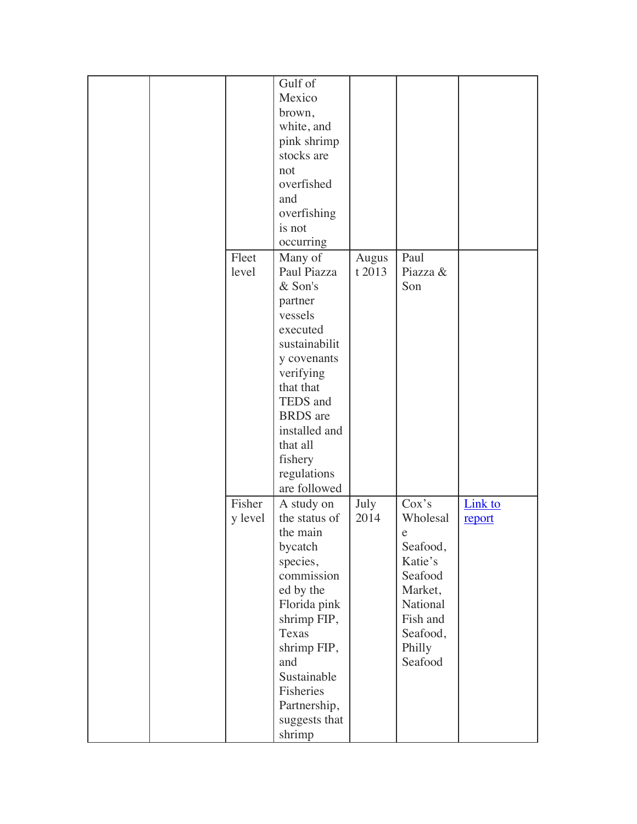|  |                   | Gulf of<br>Mexico<br>brown,<br>white, and<br>pink shrimp<br>stocks are<br>not<br>overfished<br>and<br>overfishing<br>is not<br>occurring                                                                                            |                 |                                                                                                                                        |                   |
|--|-------------------|-------------------------------------------------------------------------------------------------------------------------------------------------------------------------------------------------------------------------------------|-----------------|----------------------------------------------------------------------------------------------------------------------------------------|-------------------|
|  | Fleet<br>level    | Many of<br>Paul Piazza<br>& Son's<br>partner<br>vessels<br>executed<br>sustainabilit<br>y covenants<br>verifying<br>that that<br>TEDS and<br><b>BRDS</b> are<br>installed and<br>that all<br>fishery<br>regulations<br>are followed | Augus<br>t 2013 | Paul<br>Piazza &<br>Son                                                                                                                |                   |
|  | Fisher<br>y level | A study on<br>the status of<br>the main<br>bycatch<br>species,<br>commission<br>ed by the<br>Florida pink<br>shrimp FIP,<br>Texas<br>shrimp FIP,<br>and<br>Sustainable<br>Fisheries<br>Partnership,<br>suggests that<br>shrimp      | July<br>2014    | Cox's<br>Wholesal<br>$\mathbf e$<br>Seafood,<br>Katie's<br>Seafood<br>Market,<br>National<br>Fish and<br>Seafood,<br>Philly<br>Seafood | Link to<br>report |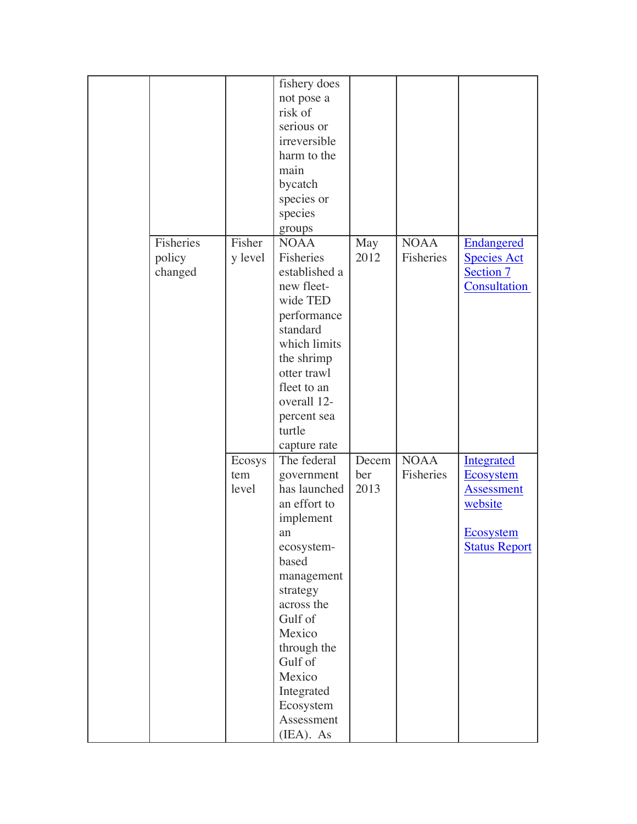|           |         | fishery does  |       |             |                      |
|-----------|---------|---------------|-------|-------------|----------------------|
|           |         | not pose a    |       |             |                      |
|           |         | risk of       |       |             |                      |
|           |         | serious or    |       |             |                      |
|           |         | irreversible  |       |             |                      |
|           |         | harm to the   |       |             |                      |
|           |         | main          |       |             |                      |
|           |         | bycatch       |       |             |                      |
|           |         |               |       |             |                      |
|           |         | species or    |       |             |                      |
|           |         | species       |       |             |                      |
|           |         | groups        |       |             |                      |
| Fisheries | Fisher  | <b>NOAA</b>   | May   | <b>NOAA</b> | <b>Endangered</b>    |
| policy    | y level | Fisheries     | 2012  | Fisheries   | <b>Species Act</b>   |
| changed   |         | established a |       |             | Section 7            |
|           |         | new fleet-    |       |             | Consultation         |
|           |         | wide TED      |       |             |                      |
|           |         | performance   |       |             |                      |
|           |         | standard      |       |             |                      |
|           |         | which limits  |       |             |                      |
|           |         | the shrimp    |       |             |                      |
|           |         | otter trawl   |       |             |                      |
|           |         | fleet to an   |       |             |                      |
|           |         | overall 12-   |       |             |                      |
|           |         | percent sea   |       |             |                      |
|           |         | turtle        |       |             |                      |
|           |         | capture rate  |       |             |                      |
|           | Ecosys  | The federal   | Decem | <b>NOAA</b> | <b>Integrated</b>    |
|           | tem     | government    | ber   | Fisheries   | <b>Ecosystem</b>     |
|           | level   | has launched  | 2013  |             | Assessment           |
|           |         | an effort to  |       |             | website              |
|           |         | implement     |       |             |                      |
|           |         | an            |       |             | <b>Ecosystem</b>     |
|           |         | ecosystem-    |       |             | <b>Status Report</b> |
|           |         | based         |       |             |                      |
|           |         | management    |       |             |                      |
|           |         | strategy      |       |             |                      |
|           |         | across the    |       |             |                      |
|           |         | Gulf of       |       |             |                      |
|           |         | Mexico        |       |             |                      |
|           |         | through the   |       |             |                      |
|           |         | Gulf of       |       |             |                      |
|           |         | Mexico        |       |             |                      |
|           |         |               |       |             |                      |
|           |         | Integrated    |       |             |                      |
|           |         | Ecosystem     |       |             |                      |
|           |         | Assessment    |       |             |                      |
|           |         | (IEA). As     |       |             |                      |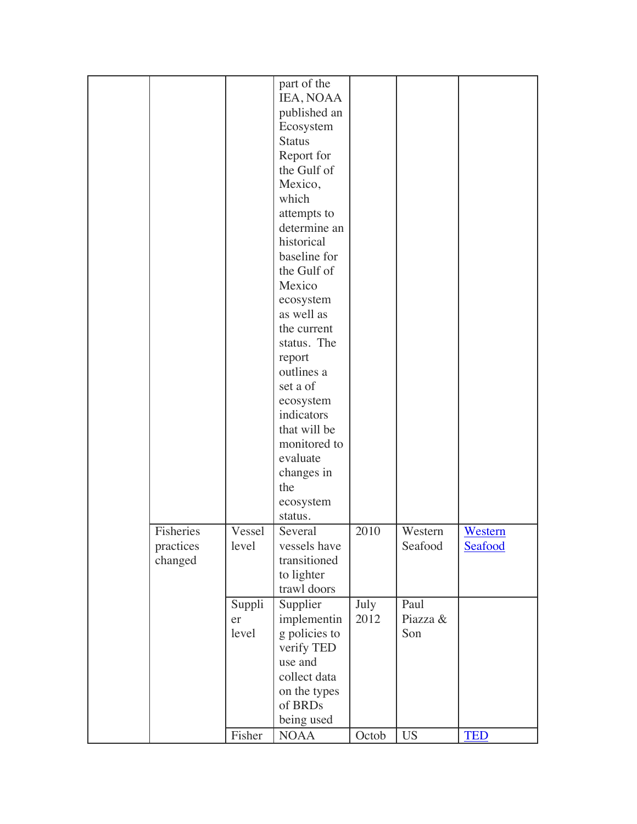|                                   |                       | part of the<br>IEA, NOAA<br>published an<br>Ecosystem<br><b>Status</b><br>Report for<br>the Gulf of<br>Mexico,<br>which<br>attempts to<br>determine an<br>historical<br>baseline for<br>the Gulf of<br>Mexico<br>ecosystem<br>as well as<br>the current<br>status. The<br>report<br>outlines a<br>set a of<br>ecosystem<br>indicators<br>that will be<br>monitored to<br>evaluate<br>changes in<br>the |              |                         |                    |
|-----------------------------------|-----------------------|--------------------------------------------------------------------------------------------------------------------------------------------------------------------------------------------------------------------------------------------------------------------------------------------------------------------------------------------------------------------------------------------------------|--------------|-------------------------|--------------------|
|                                   |                       | ecosystem<br>status.                                                                                                                                                                                                                                                                                                                                                                                   |              |                         |                    |
| Fisheries<br>practices<br>changed | Vessel<br>level       | Several<br>vessels have<br>transitioned<br>to lighter<br>trawl doors                                                                                                                                                                                                                                                                                                                                   | 2010         | Western<br>Seafood      | Western<br>Seafood |
|                                   | Suppli<br>er<br>level | Supplier<br>implementin<br>g policies to<br>verify TED<br>use and<br>collect data<br>on the types<br>of BRDs<br>being used                                                                                                                                                                                                                                                                             | July<br>2012 | Paul<br>Piazza &<br>Son |                    |
|                                   | Fisher                | <b>NOAA</b>                                                                                                                                                                                                                                                                                                                                                                                            | Octob        | <b>US</b>               | <b>TED</b>         |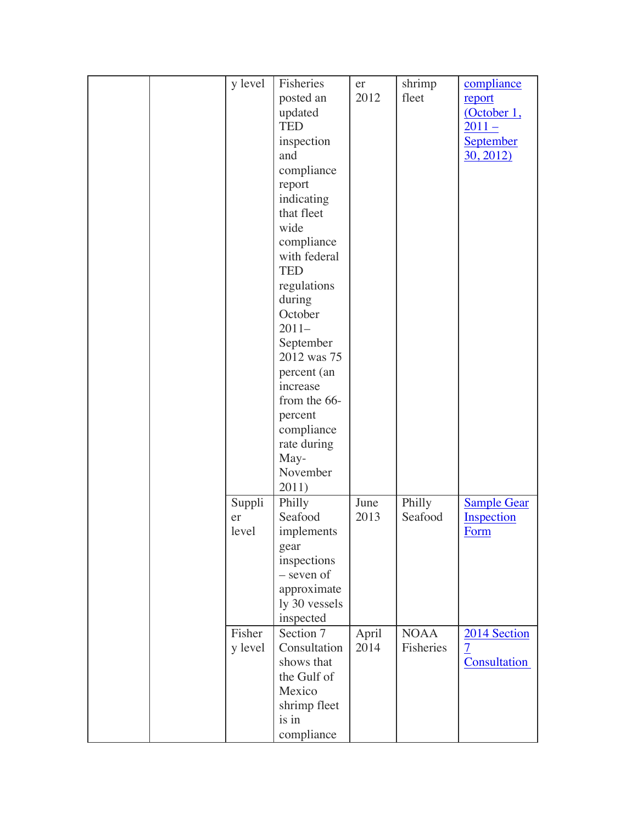|  | y level | Fisheries     | er    | shrimp      | compliance         |
|--|---------|---------------|-------|-------------|--------------------|
|  |         | posted an     | 2012  | fleet       | report             |
|  |         | updated       |       |             | (October 1,        |
|  |         | <b>TED</b>    |       |             | $2011 -$           |
|  |         | inspection    |       |             | September          |
|  |         | and           |       |             | 30, 2012           |
|  |         |               |       |             |                    |
|  |         | compliance    |       |             |                    |
|  |         | report        |       |             |                    |
|  |         | indicating    |       |             |                    |
|  |         | that fleet    |       |             |                    |
|  |         | wide          |       |             |                    |
|  |         | compliance    |       |             |                    |
|  |         | with federal  |       |             |                    |
|  |         | <b>TED</b>    |       |             |                    |
|  |         | regulations   |       |             |                    |
|  |         | during        |       |             |                    |
|  |         | October       |       |             |                    |
|  |         |               |       |             |                    |
|  |         | $2011-$       |       |             |                    |
|  |         | September     |       |             |                    |
|  |         | 2012 was 75   |       |             |                    |
|  |         | percent (an   |       |             |                    |
|  |         | increase      |       |             |                    |
|  |         | from the 66-  |       |             |                    |
|  |         | percent       |       |             |                    |
|  |         | compliance    |       |             |                    |
|  |         | rate during   |       |             |                    |
|  |         | May-          |       |             |                    |
|  |         |               |       |             |                    |
|  |         | November      |       |             |                    |
|  |         | 2011)         |       |             |                    |
|  | Suppli  | Philly        | June  | Philly      | <b>Sample Gear</b> |
|  | er      | Seafood       | 2013  | Seafood     | Inspection         |
|  | level   | implements    |       |             | Form               |
|  |         | gear          |       |             |                    |
|  |         | inspections   |       |             |                    |
|  |         | - seven of    |       |             |                    |
|  |         | approximate   |       |             |                    |
|  |         | ly 30 vessels |       |             |                    |
|  |         |               |       |             |                    |
|  |         | inspected     |       |             |                    |
|  | Fisher  | Section 7     | April | <b>NOAA</b> | 2014 Section       |
|  | y level | Consultation  | 2014  | Fisheries   | $\overline{7}$     |
|  |         | shows that    |       |             | Consultation       |
|  |         | the Gulf of   |       |             |                    |
|  |         | Mexico        |       |             |                    |
|  |         | shrimp fleet  |       |             |                    |
|  |         | is in         |       |             |                    |
|  |         | compliance    |       |             |                    |
|  |         |               |       |             |                    |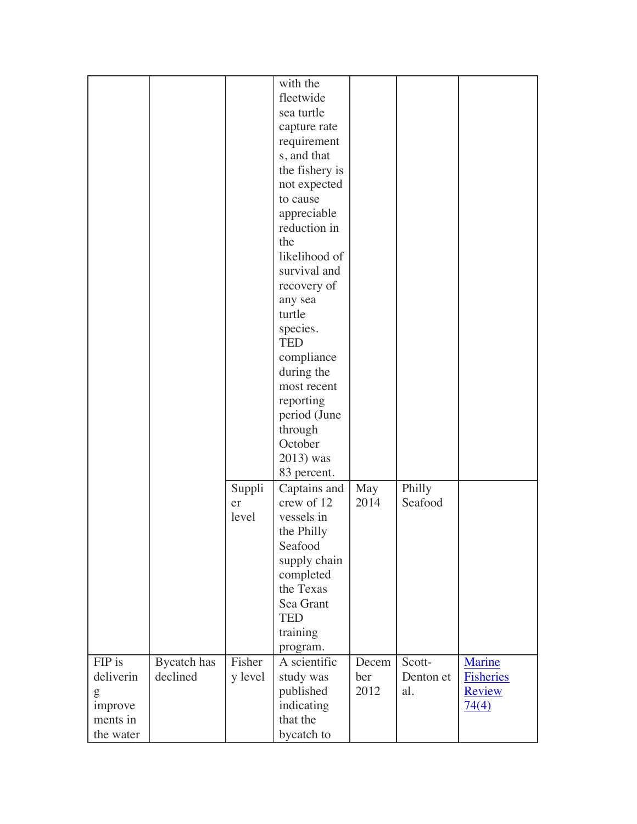| with the<br>fleetwide<br>sea turtle<br>capture rate<br>requirement<br>s, and that<br>the fishery is<br>not expected<br>to cause<br>appreciable<br>reduction in<br>the<br>likelihood of<br>survival and<br>recovery of<br>any sea<br>turtle<br>species.<br><b>TED</b><br>compliance<br>during the<br>most recent<br>reporting<br>period (June<br>through<br>October<br>2013) was<br>83 percent.<br>Philly<br>Captains and<br>Suppli<br>May<br>crew of 12<br>2014<br>Seafood<br>er<br>level<br>vessels in<br>the Philly |
|-----------------------------------------------------------------------------------------------------------------------------------------------------------------------------------------------------------------------------------------------------------------------------------------------------------------------------------------------------------------------------------------------------------------------------------------------------------------------------------------------------------------------|
|                                                                                                                                                                                                                                                                                                                                                                                                                                                                                                                       |
|                                                                                                                                                                                                                                                                                                                                                                                                                                                                                                                       |
|                                                                                                                                                                                                                                                                                                                                                                                                                                                                                                                       |
|                                                                                                                                                                                                                                                                                                                                                                                                                                                                                                                       |
|                                                                                                                                                                                                                                                                                                                                                                                                                                                                                                                       |
|                                                                                                                                                                                                                                                                                                                                                                                                                                                                                                                       |
|                                                                                                                                                                                                                                                                                                                                                                                                                                                                                                                       |
|                                                                                                                                                                                                                                                                                                                                                                                                                                                                                                                       |
|                                                                                                                                                                                                                                                                                                                                                                                                                                                                                                                       |
|                                                                                                                                                                                                                                                                                                                                                                                                                                                                                                                       |
|                                                                                                                                                                                                                                                                                                                                                                                                                                                                                                                       |
|                                                                                                                                                                                                                                                                                                                                                                                                                                                                                                                       |
|                                                                                                                                                                                                                                                                                                                                                                                                                                                                                                                       |
|                                                                                                                                                                                                                                                                                                                                                                                                                                                                                                                       |
|                                                                                                                                                                                                                                                                                                                                                                                                                                                                                                                       |
|                                                                                                                                                                                                                                                                                                                                                                                                                                                                                                                       |
|                                                                                                                                                                                                                                                                                                                                                                                                                                                                                                                       |
|                                                                                                                                                                                                                                                                                                                                                                                                                                                                                                                       |
|                                                                                                                                                                                                                                                                                                                                                                                                                                                                                                                       |
|                                                                                                                                                                                                                                                                                                                                                                                                                                                                                                                       |
|                                                                                                                                                                                                                                                                                                                                                                                                                                                                                                                       |
|                                                                                                                                                                                                                                                                                                                                                                                                                                                                                                                       |
|                                                                                                                                                                                                                                                                                                                                                                                                                                                                                                                       |
|                                                                                                                                                                                                                                                                                                                                                                                                                                                                                                                       |
|                                                                                                                                                                                                                                                                                                                                                                                                                                                                                                                       |
|                                                                                                                                                                                                                                                                                                                                                                                                                                                                                                                       |
|                                                                                                                                                                                                                                                                                                                                                                                                                                                                                                                       |
|                                                                                                                                                                                                                                                                                                                                                                                                                                                                                                                       |
|                                                                                                                                                                                                                                                                                                                                                                                                                                                                                                                       |
|                                                                                                                                                                                                                                                                                                                                                                                                                                                                                                                       |
|                                                                                                                                                                                                                                                                                                                                                                                                                                                                                                                       |
|                                                                                                                                                                                                                                                                                                                                                                                                                                                                                                                       |
|                                                                                                                                                                                                                                                                                                                                                                                                                                                                                                                       |
| Seafood                                                                                                                                                                                                                                                                                                                                                                                                                                                                                                               |
| supply chain                                                                                                                                                                                                                                                                                                                                                                                                                                                                                                          |
| completed                                                                                                                                                                                                                                                                                                                                                                                                                                                                                                             |
| the Texas                                                                                                                                                                                                                                                                                                                                                                                                                                                                                                             |
| Sea Grant                                                                                                                                                                                                                                                                                                                                                                                                                                                                                                             |
| <b>TED</b>                                                                                                                                                                                                                                                                                                                                                                                                                                                                                                            |
| training                                                                                                                                                                                                                                                                                                                                                                                                                                                                                                              |
| program.                                                                                                                                                                                                                                                                                                                                                                                                                                                                                                              |
|                                                                                                                                                                                                                                                                                                                                                                                                                                                                                                                       |
| FIP is<br>Fisher<br>A scientific<br>Scott-                                                                                                                                                                                                                                                                                                                                                                                                                                                                            |
| <b>Bycatch</b> has<br>Decem<br>Marine<br>deliverin<br>declined<br>Denton et<br>ber                                                                                                                                                                                                                                                                                                                                                                                                                                    |
| Fisheries<br>y level<br>study was<br>al.                                                                                                                                                                                                                                                                                                                                                                                                                                                                              |
| 2012<br>published<br><b>Review</b><br>g                                                                                                                                                                                                                                                                                                                                                                                                                                                                               |
| indicating<br>improve<br>74(4)<br>that the<br>ments in                                                                                                                                                                                                                                                                                                                                                                                                                                                                |